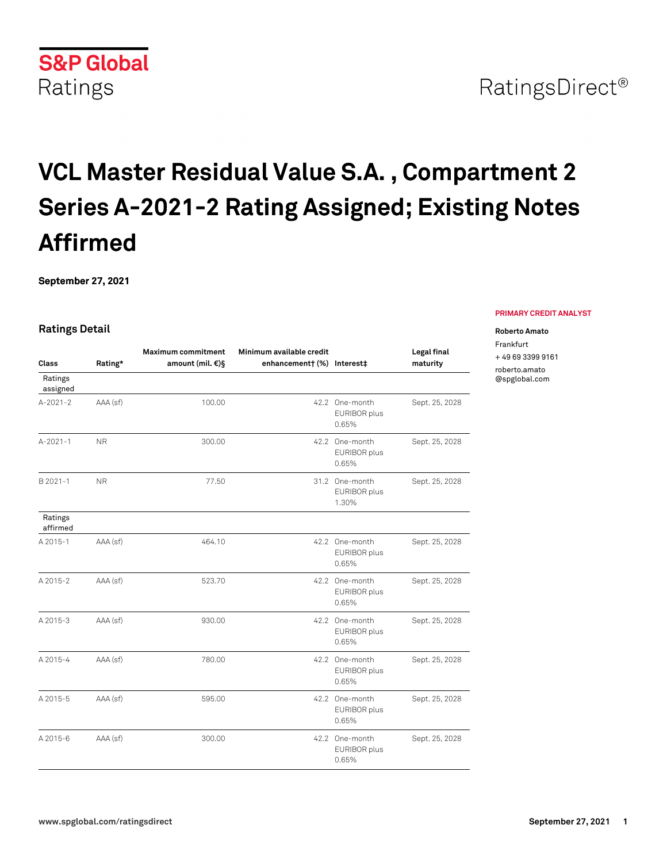# **VCL Master Residual Value S.A. , Compartment 2 Series A-2021-2 Rating Assigned; Existing Notes Affirmed**

**September 27, 2021**

#### **Ratings Detail**

| Class               | Rating*        | <b>Maximum commitment</b><br>amount (mil. €)§ | Minimum available credit<br>enhancement† (%) Interest‡ |                                         | Legal final<br>maturity |
|---------------------|----------------|-----------------------------------------------|--------------------------------------------------------|-----------------------------------------|-------------------------|
| Ratings<br>assigned |                |                                               |                                                        |                                         |                         |
| $A - 2021 - 2$      | AAA (sf)       | 100.00                                        |                                                        | 42.2 One-month<br>EURIBOR plus<br>0.65% | Sept. 25, 2028          |
| $A - 2021 - 1$      | N <sub>R</sub> | 300.00                                        |                                                        | 42.2 One-month<br>EURIBOR plus<br>0.65% | Sept. 25, 2028          |
| B 2021-1            | <b>NR</b>      | 77.50                                         |                                                        | 31.2 One-month<br>EURIBOR plus<br>1.30% | Sept. 25, 2028          |
| Ratings<br>affirmed |                |                                               |                                                        |                                         |                         |
| A 2015-1            | AAA (sf)       | 464.10                                        |                                                        | 42.2 One-month<br>EURIBOR plus<br>0.65% | Sept. 25, 2028          |
| A 2015-2            | AAA (sf)       | 523.70                                        |                                                        | 42.2 One-month<br>EURIBOR plus<br>0.65% | Sept. 25, 2028          |
| A 2015-3            | AAA (sf)       | 930.00                                        |                                                        | 42.2 One-month<br>EURIBOR plus<br>0.65% | Sept. 25, 2028          |
| A 2015-4            | AAA (sf)       | 780.00                                        |                                                        | 42.2 One-month<br>EURIBOR plus<br>0.65% | Sept. 25, 2028          |
| A 2015-5            | AAA (sf)       | 595.00                                        |                                                        | 42.2 One-month<br>EURIBOR plus<br>0.65% | Sept. 25, 2028          |
| A 2015-6            | AAA (sf)       | 300.00                                        |                                                        | 42.2 One-month<br>EURIBOR plus<br>0.65% | Sept. 25, 2028          |

#### **PRIMARY CREDIT ANALYST**

#### **Roberto Amato**

Frankfurt + 49 69 3399 9161

[roberto.amato](mailto: roberto.amato@spglobal.com) [@spglobal.com](mailto: roberto.amato@spglobal.com)

**S&P Global** Ratings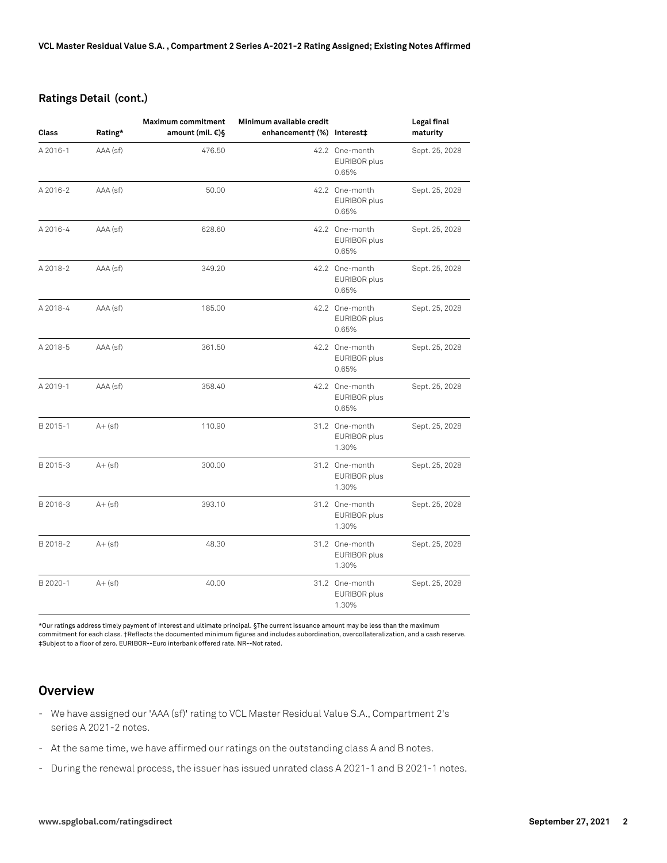#### **Ratings Detail (cont.)**

| <b>Class</b> | Rating*    | <b>Maximum commitment</b><br>amount (mil. €)§ | Minimum available credit<br>enhancement† (%) Interest‡ |                                         | Legal final<br>maturity |
|--------------|------------|-----------------------------------------------|--------------------------------------------------------|-----------------------------------------|-------------------------|
| A 2016-1     | AAA (sf)   | 476.50                                        |                                                        | 42.2 One-month<br>EURIBOR plus<br>0.65% | Sept. 25, 2028          |
| A 2016-2     | AAA (sf)   | 50.00                                         |                                                        | 42.2 One-month<br>EURIBOR plus<br>0.65% | Sept. 25, 2028          |
| A 2016-4     | AAA (sf)   | 628.60                                        |                                                        | 42.2 One-month<br>EURIBOR plus<br>0.65% | Sept. 25, 2028          |
| A 2018-2     | AAA (sf)   | 349.20                                        |                                                        | 42.2 One-month<br>EURIBOR plus<br>0.65% | Sept. 25, 2028          |
| A 2018-4     | AAA (sf)   | 185.00                                        |                                                        | 42.2 One-month<br>EURIBOR plus<br>0.65% | Sept. 25, 2028          |
| A 2018-5     | AAA (sf)   | 361.50                                        |                                                        | 42.2 One-month<br>EURIBOR plus<br>0.65% | Sept. 25, 2028          |
| A 2019-1     | AAA (sf)   | 358.40                                        |                                                        | 42.2 One-month<br>EURIBOR plus<br>0.65% | Sept. 25, 2028          |
| B 2015-1     | $A + (sf)$ | 110.90                                        |                                                        | 31.2 One-month<br>EURIBOR plus<br>1.30% | Sept. 25, 2028          |
| B 2015-3     | $A + (sf)$ | 300.00                                        |                                                        | 31.2 One-month<br>EURIBOR plus<br>1.30% | Sept. 25, 2028          |
| B 2016-3     | $A + (sf)$ | 393.10                                        |                                                        | 31.2 One-month<br>EURIBOR plus<br>1.30% | Sept. 25, 2028          |
| B 2018-2     | $A + (sf)$ | 48.30                                         |                                                        | 31.2 One-month<br>EURIBOR plus<br>1.30% | Sept. 25, 2028          |
| B 2020-1     | $A + (sf)$ | 40.00                                         |                                                        | 31.2 One-month<br>EURIBOR plus<br>1.30% | Sept. 25, 2028          |

\*Our ratings address timely payment of interest and ultimate principal. §The current issuance amount may be less than the maximum commitment for each class. †Reflects the documented minimum figures and includes subordination, overcollateralization, and a cash reserve. ‡Subject to a floor of zero. EURIBOR--Euro interbank offered rate. NR--Not rated.

## **Overview**

- We have assigned our 'AAA (sf)' rating to VCL Master Residual Value S.A., Compartment 2's series A 2021-2 notes.
- At the same time, we have affirmed our ratings on the outstanding class A and B notes.
- During the renewal process, the issuer has issued unrated class A 2021-1 and B 2021-1 notes.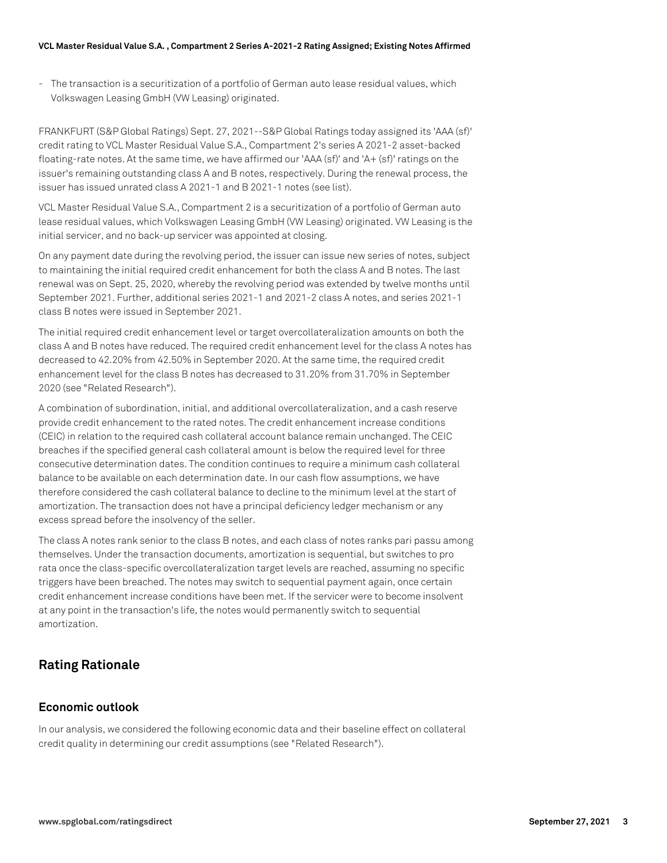- The transaction is a securitization of a portfolio of German auto lease residual values, which Volkswagen Leasing GmbH (VW Leasing) originated.

FRANKFURT (S&P Global Ratings) Sept. 27, 2021--S&P Global Ratings today assigned its 'AAA (sf)' credit rating to VCL Master Residual Value S.A., Compartment 2's series A 2021-2 asset-backed floating-rate notes. At the same time, we have affirmed our 'AAA (sf)' and 'A+ (sf)' ratings on the issuer's remaining outstanding class A and B notes, respectively. During the renewal process, the issuer has issued unrated class A 2021-1 and B 2021-1 notes (see list).

VCL Master Residual Value S.A., Compartment 2 is a securitization of a portfolio of German auto lease residual values, which Volkswagen Leasing GmbH (VW Leasing) originated. VW Leasing is the initial servicer, and no back-up servicer was appointed at closing.

On any payment date during the revolving period, the issuer can issue new series of notes, subject to maintaining the initial required credit enhancement for both the class A and B notes. The last renewal was on Sept. 25, 2020, whereby the revolving period was extended by twelve months until September 2021. Further, additional series 2021-1 and 2021-2 class A notes, and series 2021-1 class B notes were issued in September 2021.

The initial required credit enhancement level or target overcollateralization amounts on both the class A and B notes have reduced. The required credit enhancement level for the class A notes has decreased to 42.20% from 42.50% in September 2020. At the same time, the required credit enhancement level for the class B notes has decreased to 31.20% from 31.70% in September 2020 (see "Related Research").

A combination of subordination, initial, and additional overcollateralization, and a cash reserve provide credit enhancement to the rated notes. The credit enhancement increase conditions (CEIC) in relation to the required cash collateral account balance remain unchanged. The CEIC breaches if the specified general cash collateral amount is below the required level for three consecutive determination dates. The condition continues to require a minimum cash collateral balance to be available on each determination date. In our cash flow assumptions, we have therefore considered the cash collateral balance to decline to the minimum level at the start of amortization. The transaction does not have a principal deficiency ledger mechanism or any excess spread before the insolvency of the seller.

The class A notes rank senior to the class B notes, and each class of notes ranks pari passu among themselves. Under the transaction documents, amortization is sequential, but switches to pro rata once the class-specific overcollateralization target levels are reached, assuming no specific triggers have been breached. The notes may switch to sequential payment again, once certain credit enhancement increase conditions have been met. If the servicer were to become insolvent at any point in the transaction's life, the notes would permanently switch to sequential amortization.

## **Rating Rationale**

## **Economic outlook**

In our analysis, we considered the following economic data and their baseline effect on collateral credit quality in determining our credit assumptions (see "Related Research").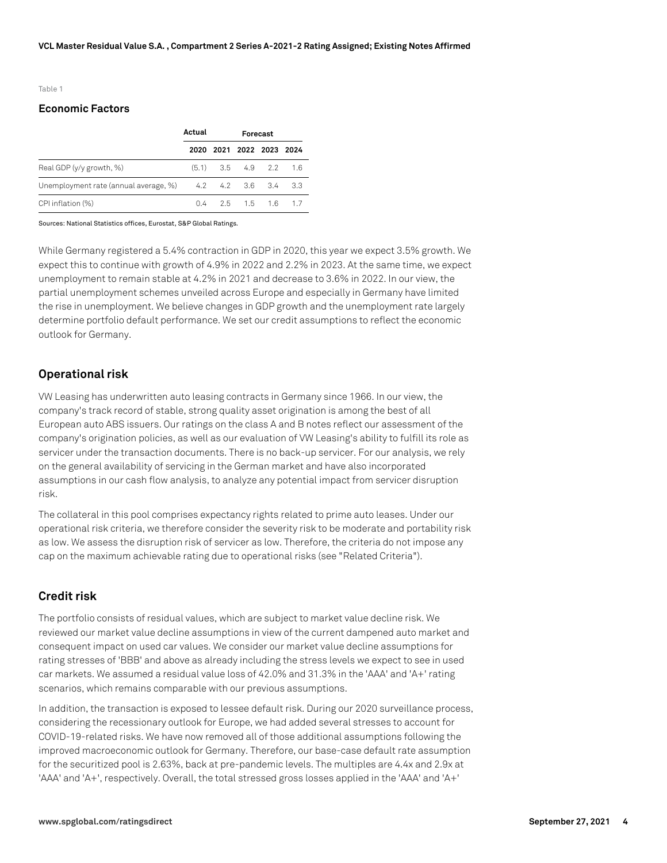Table 1

#### **Economic Factors**

|                                                                  | Actual | Forecast |  |                          |      |
|------------------------------------------------------------------|--------|----------|--|--------------------------|------|
|                                                                  |        |          |  | 2020 2021 2022 2023 2024 |      |
| Real GDP (y/y growth, %)                                         |        |          |  | $(5.1)$ 3.5 4.9 2.2 1.6  |      |
| Unemployment rate (annual average, $\frac{9}{2}$ 4.2 4.2 3.6 3.4 |        |          |  |                          | -3.3 |
| CPI inflation (%)                                                |        |          |  | $0.4$ 2.5 1.5 1.6 1.7    |      |

Sources: National Statistics offices, Eurostat, S&P Global Ratings.

While Germany registered a 5.4% contraction in GDP in 2020, this year we expect 3.5% growth. We expect this to continue with growth of 4.9% in 2022 and 2.2% in 2023. At the same time, we expect unemployment to remain stable at 4.2% in 2021 and decrease to 3.6% in 2022. In our view, the partial unemployment schemes unveiled across Europe and especially in Germany have limited the rise in unemployment. We believe changes in GDP growth and the unemployment rate largely determine portfolio default performance. We set our credit assumptions to reflect the economic outlook for Germany.

#### **Operational risk**

VW Leasing has underwritten auto leasing contracts in Germany since 1966. In our view, the company's track record of stable, strong quality asset origination is among the best of all European auto ABS issuers. Our ratings on the class A and B notes reflect our assessment of the company's origination policies, as well as our evaluation of VW Leasing's ability to fulfill its role as servicer under the transaction documents. There is no back-up servicer. For our analysis, we rely on the general availability of servicing in the German market and have also incorporated assumptions in our cash flow analysis, to analyze any potential impact from servicer disruption risk.

The collateral in this pool comprises expectancy rights related to prime auto leases. Under our operational risk criteria, we therefore consider the severity risk to be moderate and portability risk as low. We assess the disruption risk of servicer as low. Therefore, the criteria do not impose any cap on the maximum achievable rating due to operational risks (see "Related Criteria").

#### **Credit risk**

The portfolio consists of residual values, which are subject to market value decline risk. We reviewed our market value decline assumptions in view of the current dampened auto market and consequent impact on used car values. We consider our market value decline assumptions for rating stresses of 'BBB' and above as already including the stress levels we expect to see in used car markets. We assumed a residual value loss of 42.0% and 31.3% in the 'AAA' and 'A+' rating scenarios, which remains comparable with our previous assumptions.

In addition, the transaction is exposed to lessee default risk. During our 2020 surveillance process, considering the recessionary outlook for Europe, we had added several stresses to account for COVID-19-related risks. We have now removed all of those additional assumptions following the improved macroeconomic outlook for Germany. Therefore, our base-case default rate assumption for the securitized pool is 2.63%, back at pre-pandemic levels. The multiples are 4.4x and 2.9x at 'AAA' and 'A+', respectively. Overall, the total stressed gross losses applied in the 'AAA' and 'A+'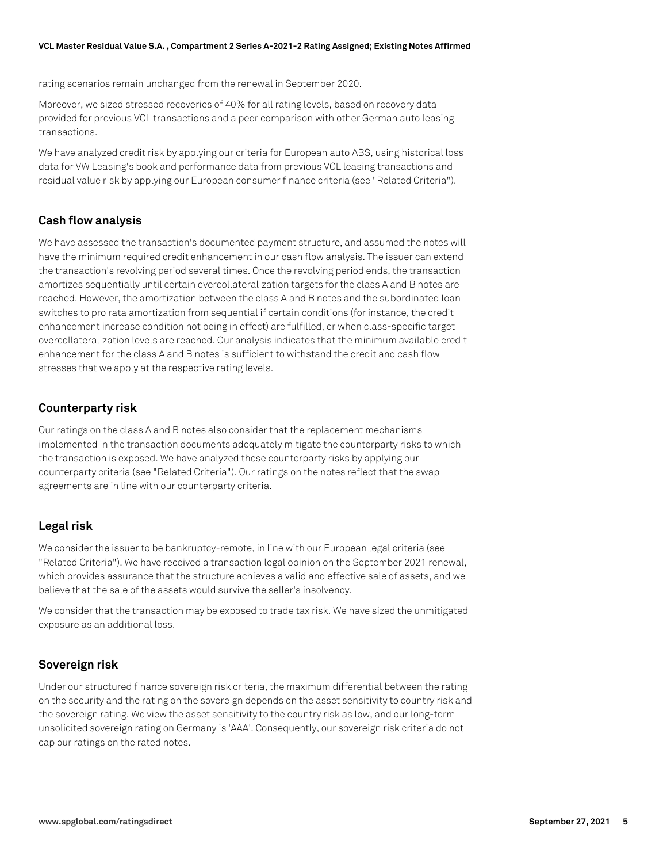rating scenarios remain unchanged from the renewal in September 2020.

Moreover, we sized stressed recoveries of 40% for all rating levels, based on recovery data provided for previous VCL transactions and a peer comparison with other German auto leasing transactions.

We have analyzed credit risk by applying our criteria for European auto ABS, using historical loss data for VW Leasing's book and performance data from previous VCL leasing transactions and residual value risk by applying our European consumer finance criteria (see "Related Criteria").

### **Cash flow analysis**

We have assessed the transaction's documented payment structure, and assumed the notes will have the minimum required credit enhancement in our cash flow analysis. The issuer can extend the transaction's revolving period several times. Once the revolving period ends, the transaction amortizes sequentially until certain overcollateralization targets for the class A and B notes are reached. However, the amortization between the class A and B notes and the subordinated loan switches to pro rata amortization from sequential if certain conditions (for instance, the credit enhancement increase condition not being in effect) are fulfilled, or when class-specific target overcollateralization levels are reached. Our analysis indicates that the minimum available credit enhancement for the class A and B notes is sufficient to withstand the credit and cash flow stresses that we apply at the respective rating levels.

#### **Counterparty risk**

Our ratings on the class A and B notes also consider that the replacement mechanisms implemented in the transaction documents adequately mitigate the counterparty risks to which the transaction is exposed. We have analyzed these counterparty risks by applying our counterparty criteria (see "Related Criteria"). Our ratings on the notes reflect that the swap agreements are in line with our counterparty criteria.

#### **Legal risk**

We consider the issuer to be bankruptcy-remote, in line with our European legal criteria (see "Related Criteria"). We have received a transaction legal opinion on the September 2021 renewal, which provides assurance that the structure achieves a valid and effective sale of assets, and we believe that the sale of the assets would survive the seller's insolvency.

We consider that the transaction may be exposed to trade tax risk. We have sized the unmitigated exposure as an additional loss.

#### **Sovereign risk**

Under our structured finance sovereign risk criteria, the maximum differential between the rating on the security and the rating on the sovereign depends on the asset sensitivity to country risk and the sovereign rating. We view the asset sensitivity to the country risk as low, and our long-term unsolicited sovereign rating on Germany is 'AAA'. Consequently, our sovereign risk criteria do not cap our ratings on the rated notes.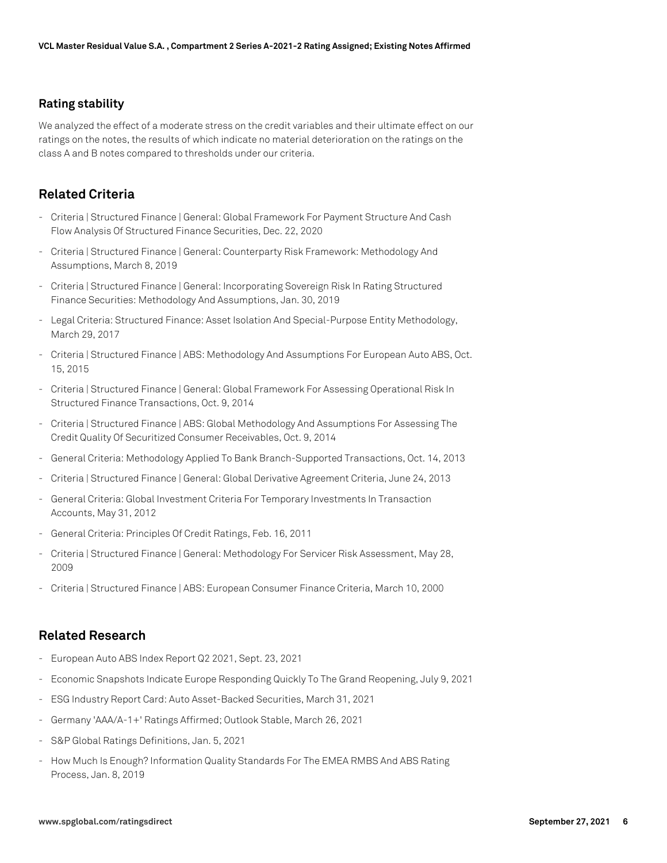#### **Rating stability**

We analyzed the effect of a moderate stress on the credit variables and their ultimate effect on our ratings on the notes, the results of which indicate no material deterioration on the ratings on the class A and B notes compared to thresholds under our criteria.

## **Related Criteria**

- Criteria | Structured Finance | General: Global Framework For Payment Structure And Cash Flow Analysis Of Structured Finance Securities, Dec. 22, 2020
- Criteria | Structured Finance | General: Counterparty Risk Framework: Methodology And Assumptions, March 8, 2019
- Criteria | Structured Finance | General: Incorporating Sovereign Risk In Rating Structured Finance Securities: Methodology And Assumptions, Jan. 30, 2019
- Legal Criteria: Structured Finance: Asset Isolation And Special-Purpose Entity Methodology, March 29, 2017
- Criteria | Structured Finance | ABS: Methodology And Assumptions For European Auto ABS, Oct. 15, 2015
- Criteria | Structured Finance | General: Global Framework For Assessing Operational Risk In Structured Finance Transactions, Oct. 9, 2014
- Criteria | Structured Finance | ABS: Global Methodology And Assumptions For Assessing The Credit Quality Of Securitized Consumer Receivables, Oct. 9, 2014
- General Criteria: Methodology Applied To Bank Branch-Supported Transactions, Oct. 14, 2013
- Criteria | Structured Finance | General: Global Derivative Agreement Criteria, June 24, 2013
- General Criteria: Global Investment Criteria For Temporary Investments In Transaction Accounts, May 31, 2012
- General Criteria: Principles Of Credit Ratings, Feb. 16, 2011
- Criteria | Structured Finance | General: Methodology For Servicer Risk Assessment, May 28, 2009
- Criteria | Structured Finance | ABS: European Consumer Finance Criteria, March 10, 2000

#### **Related Research**

- European Auto ABS Index Report Q2 2021, Sept. 23, 2021
- Economic Snapshots Indicate Europe Responding Quickly To The Grand Reopening, July 9, 2021
- ESG Industry Report Card: Auto Asset-Backed Securities, March 31, 2021
- Germany 'AAA/A-1+' Ratings Affirmed; Outlook Stable, March 26, 2021
- S&P Global Ratings Definitions, Jan. 5, 2021
- How Much Is Enough? Information Quality Standards For The EMEA RMBS And ABS Rating Process, Jan. 8, 2019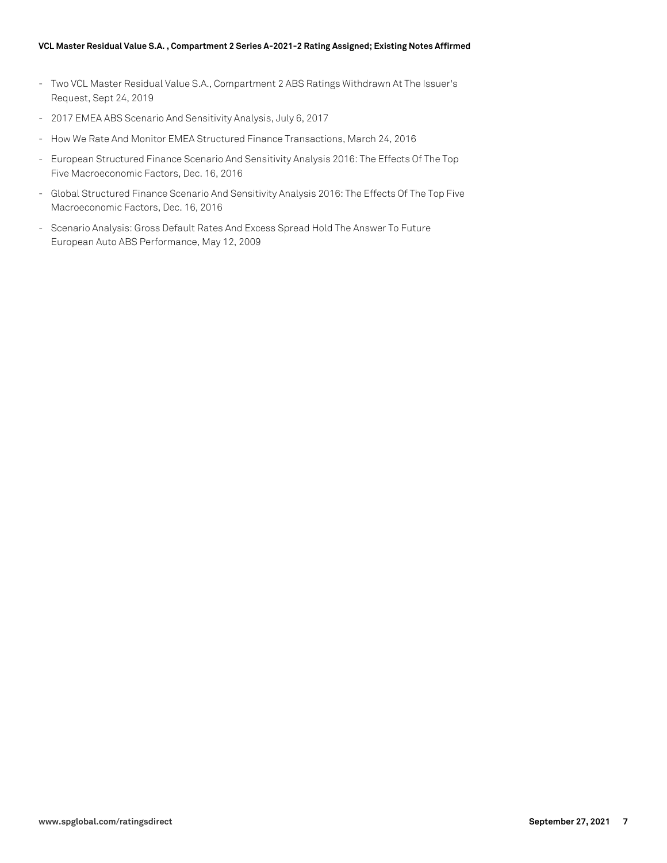#### **VCL Master Residual Value S.A. , Compartment 2 Series A-2021-2 Rating Assigned; Existing Notes Affirmed**

- Two VCL Master Residual Value S.A., Compartment 2 ABS Ratings Withdrawn At The Issuer's Request, Sept 24, 2019
- 2017 EMEA ABS Scenario And Sensitivity Analysis, July 6, 2017
- How We Rate And Monitor EMEA Structured Finance Transactions, March 24, 2016
- European Structured Finance Scenario And Sensitivity Analysis 2016: The Effects Of The Top Five Macroeconomic Factors, Dec. 16, 2016
- Global Structured Finance Scenario And Sensitivity Analysis 2016: The Effects Of The Top Five Macroeconomic Factors, Dec. 16, 2016
- Scenario Analysis: Gross Default Rates And Excess Spread Hold The Answer To Future European Auto ABS Performance, May 12, 2009